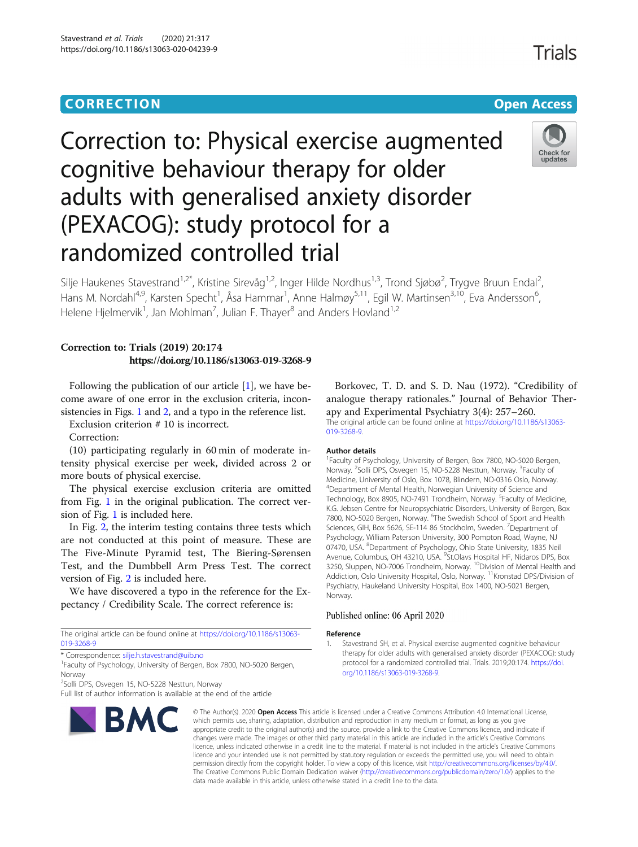# CORR EC TION Open [Access](http://crossmark.crossref.org/dialog/?doi=10.1186/s13063-020-04239-9&domain=pdf)

# Correction to: Physical exercise augmented cognitive behaviour therapy for older adults with generalised anxiety disorder (PEXACOG): study protocol for a randomized controlled trial



Silje Haukenes Stavestrand<sup>1,2\*</sup>, Kristine Sirevåg<sup>1,2</sup>, Inger Hilde Nordhus<sup>1,3</sup>, Trond Sjøbø<sup>2</sup>, Trygve Bruun Endal<sup>2</sup> , Hans M. Nordahl<sup>4,9</sup>, Karsten Specht<sup>1</sup>, Åsa Hammar<sup>1</sup>, Anne Halmøy<sup>5,11</sup>, Egil W. Martinsen<sup>3,10</sup>, Eva Andersson<sup>6</sup> י<br>, Helene Hjelmervik<sup>1</sup>, Jan Mohlman<sup>7</sup>, Julian F. Thayer<sup>8</sup> and Anders Hovland<sup>1,2</sup>

### Correction to: Trials (2019) 20:174 https://doi.org/10.1186/s13063-019-3268-9

Following the publication of our article  $[1]$ , we have become aware of one error in the exclusion criteria, incon-sistencies in Figs. [1](#page-1-0) and [2](#page-3-0), and a typo in the reference list.

Exclusion criterion # 10 is incorrect.

Correction:

(10) participating regularly in 60 min of moderate intensity physical exercise per week, divided across 2 or more bouts of physical exercise.

The physical exercise exclusion criteria are omitted from Fig. [1](#page-1-0) in the original publication. The correct version of Fig. [1](#page-1-0) is included here.

In Fig. [2,](#page-3-0) the interim testing contains three tests which are not conducted at this point of measure. These are The Five-Minute Pyramid test, The Biering-Sørensen Test, and the Dumbbell Arm Press Test. The correct version of Fig. [2](#page-3-0) is included here.

We have discovered a typo in the reference for the Expectancy / Credibility Scale. The correct reference is:

The original article can be found online at [https://doi.org/10.1186/s13063-](https://doi.org/10.1186/s13063-019-3268-9) [019-3268-9](https://doi.org/10.1186/s13063-019-3268-9)

\* Correspondence: [silje.h.stavestrand@uib.no](mailto:silje.h.stavestrand@uib.no) <sup>1</sup>

<sup>1</sup> Faculty of Psychology, University of Bergen, Box 7800, NO-5020 Bergen, Norway

2 Solli DPS, Osvegen 15, NO-5228 Nesttun, Norway

**BMC** 

Full list of author information is available at the end of the article

## Borkovec, T. D. and S. D. Nau (1972). "Credibility of analogue therapy rationales." Journal of Behavior Therapy and Experimental Psychiatry 3(4): 257–260. The original article can be found online at [https://doi.org/10.1186/s13063-](https://doi.org/10.1186/s13063-019-3268-9) [019-3268-9.](https://doi.org/10.1186/s13063-019-3268-9)

#### Author details

<sup>1</sup> Faculty of Psychology, University of Bergen, Box 7800, NO-5020 Bergen, Norway. <sup>2</sup>Solli DPS, Osvegen 15, NO-5228 Nesttun, Norway. <sup>3</sup>Faculty of Medicine, University of Oslo, Box 1078, Blindern, NO-0316 Oslo, Norway. 4 Department of Mental Health, Norwegian University of Science and Technology, Box 8905, NO-7491 Trondheim, Norway. <sup>5</sup>Faculty of Medicine, K.G. Jebsen Centre for Neuropsychiatric Disorders, University of Bergen, Box 7800, NO-5020 Bergen, Norway. <sup>6</sup>The Swedish School of Sport and Health Sciences, GIH, Box 5626, SE-114 86 Stockholm, Sweden. <sup>7</sup> Department of Psychology, William Paterson University, 300 Pompton Road, Wayne, NJ 07470, USA. <sup>8</sup>Department of Psychology, Ohio State University, 1835 Neil Avenue, Columbus, OH 43210, USA. <sup>9</sup>St.Olavs Hospital HF, Nidaros DPS, Box 3250, Sluppen, NO-7006 Trondheim, Norway. <sup>10</sup>Division of Mental Health and Addiction, Oslo University Hospital, Oslo, Norway. <sup>11</sup>Kronstad DPS/Division of Psychiatry, Haukeland University Hospital, Box 1400, NO-5021 Bergen, Norway.

#### Published online: 06 April 2020

#### Reference

1. Stavestrand SH, et al. Physical exercise augmented cognitive behaviour therapy for older adults with generalised anxiety disorder (PEXACOG): study protocol for a randomized controlled trial. Trials. 2019;20:174. [https://doi.](https://doi.org/10.1186/s13063-019-3268-9) [org/10.1186/s13063-019-3268-9](https://doi.org/10.1186/s13063-019-3268-9).

© The Author(s), 2020 **Open Access** This article is licensed under a Creative Commons Attribution 4.0 International License, which permits use, sharing, adaptation, distribution and reproduction in any medium or format, as long as you give appropriate credit to the original author(s) and the source, provide a link to the Creative Commons licence, and indicate if changes were made. The images or other third party material in this article are included in the article's Creative Commons licence, unless indicated otherwise in a credit line to the material. If material is not included in the article's Creative Commons licence and your intended use is not permitted by statutory regulation or exceeds the permitted use, you will need to obtain permission directly from the copyright holder. To view a copy of this licence, visit [http://creativecommons.org/licenses/by/4.0/.](http://creativecommons.org/licenses/by/4.0/) The Creative Commons Public Domain Dedication waiver [\(http://creativecommons.org/publicdomain/zero/1.0/](http://creativecommons.org/publicdomain/zero/1.0/)) applies to the data made available in this article, unless otherwise stated in a credit line to the data.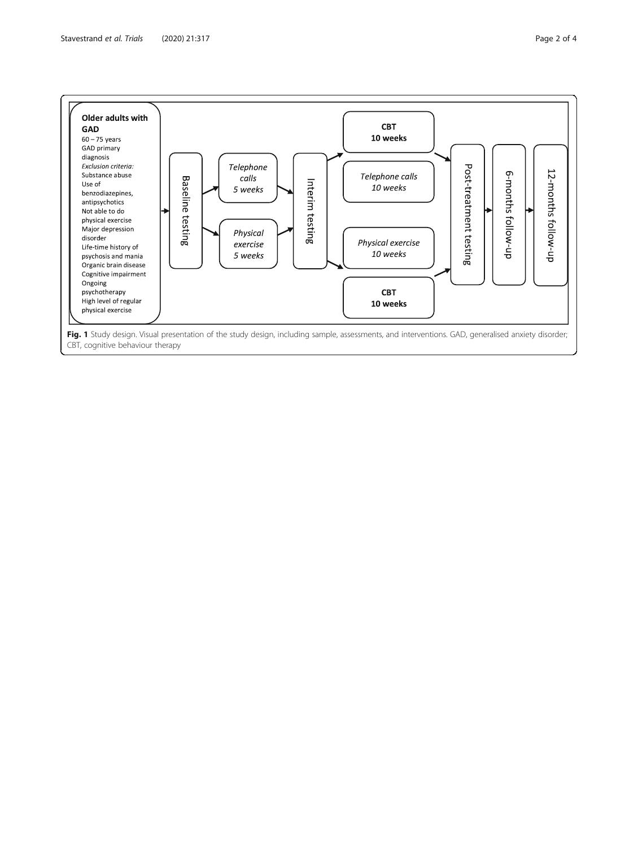<span id="page-1-0"></span>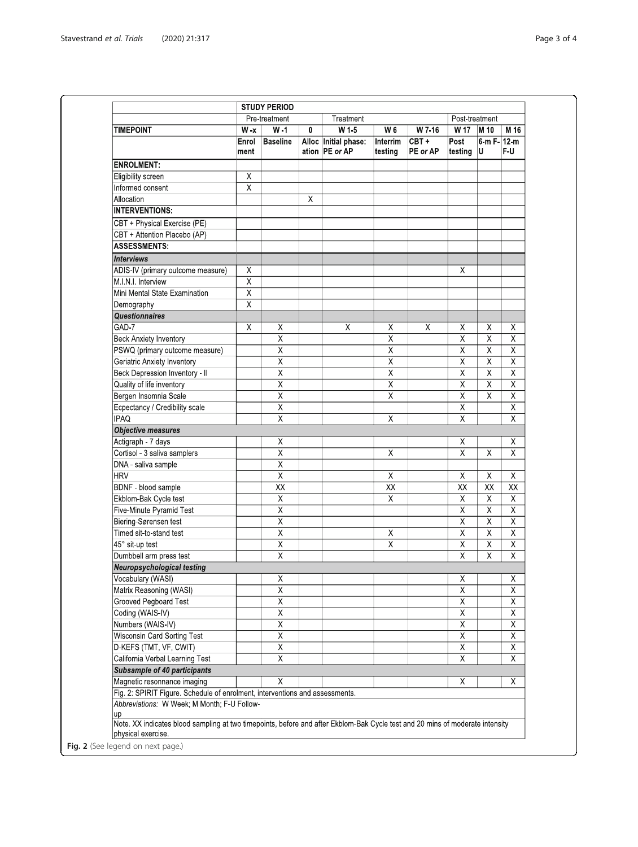|                                                                                                                                   | Pre-treatment           |                         |          | Treatment                              |                         |                     | Post-treatment          |                         |                         |
|-----------------------------------------------------------------------------------------------------------------------------------|-------------------------|-------------------------|----------|----------------------------------------|-------------------------|---------------------|-------------------------|-------------------------|-------------------------|
| <b>TIMEPOINT</b>                                                                                                                  | $W - x$<br>$W - 1$      |                         | W15<br>0 |                                        | W 6<br>W 7-16           |                     | W 17<br>M 10            |                         | M 16                    |
|                                                                                                                                   | Enrol<br>ment           | <b>Baseline</b>         |          | Alloc Initial phase:<br>ation PE or AP | Interrim<br>testing     | $CBT +$<br>PE or AP | Post<br>testing $ U $   | $6 - m F - 12 - m$      | F-U                     |
| <b>ENROLMENT:</b>                                                                                                                 |                         |                         |          |                                        |                         |                     |                         |                         |                         |
| Eligibility screen                                                                                                                | Χ                       |                         |          |                                        |                         |                     |                         |                         |                         |
| Informed consent                                                                                                                  | $\overline{\chi}$       |                         |          |                                        |                         |                     |                         |                         |                         |
| Allocation                                                                                                                        |                         |                         | X        |                                        |                         |                     |                         |                         |                         |
| <b>INTERVENTIONS:</b>                                                                                                             |                         |                         |          |                                        |                         |                     |                         |                         |                         |
| CBT + Physical Exercise (PE)                                                                                                      |                         |                         |          |                                        |                         |                     |                         |                         |                         |
| CBT + Attention Placebo (AP)                                                                                                      |                         |                         |          |                                        |                         |                     |                         |                         |                         |
| <b>ASSESSMENTS:</b>                                                                                                               |                         |                         |          |                                        |                         |                     |                         |                         |                         |
| <b>Interviews</b>                                                                                                                 |                         |                         |          |                                        |                         |                     |                         |                         |                         |
| ADIS-IV (primary outcome measure)                                                                                                 | X                       |                         |          |                                        |                         |                     | X                       |                         |                         |
| M.I.N.I. Interview                                                                                                                | $\overline{\mathsf{x}}$ |                         |          |                                        |                         |                     |                         |                         |                         |
| Mini Mental State Examination                                                                                                     | $\overline{\chi}$       |                         |          |                                        |                         |                     |                         |                         |                         |
| Demography                                                                                                                        | Χ                       |                         |          |                                        |                         |                     |                         |                         |                         |
| <b>Questionnaires</b>                                                                                                             |                         |                         |          |                                        |                         |                     |                         |                         |                         |
| GAD-7                                                                                                                             | X                       | Χ                       |          | X                                      | X                       | X                   | X                       | X                       | Χ                       |
| <b>Beck Anxiety Inventory</b>                                                                                                     |                         | X                       |          |                                        | $\overline{\mathsf{x}}$ |                     | $\overline{\mathsf{x}}$ | $\overline{\mathsf{x}}$ | Χ                       |
| PSWQ (primary outcome measure)                                                                                                    |                         | Χ                       |          |                                        | Χ                       |                     | Χ                       | $\overline{x}$          | Χ                       |
| Geriatric Anxiety Inventory                                                                                                       |                         | Χ                       |          |                                        | $\sf X$                 |                     | Χ                       | Χ                       | $\mathsf X$             |
| Beck Depression Inventory - II                                                                                                    |                         | $\overline{\mathsf{x}}$ |          |                                        | $\overline{\mathsf{x}}$ |                     | $\overline{\mathsf{x}}$ | $\overline{\mathsf{x}}$ | $\overline{\mathsf{x}}$ |
| Quality of life inventory                                                                                                         |                         | $\overline{\mathsf{x}}$ |          |                                        | $\overline{\mathsf{x}}$ |                     | $\overline{\mathsf{x}}$ | $\overline{\mathsf{x}}$ | $\overline{\mathsf{x}}$ |
| Bergen Insomnia Scale                                                                                                             |                         | $\overline{\mathsf{X}}$ |          |                                        | $\overline{\chi}$       |                     | $\overline{\mathsf{x}}$ | $\overline{\mathsf{x}}$ | $\overline{X}$          |
| Ecpectancy / Credibility scale                                                                                                    |                         | Χ                       |          |                                        |                         |                     | Χ                       |                         | Χ                       |
| <b>IPAQ</b>                                                                                                                       |                         | $\overline{X}$          |          |                                        | $\overline{X}$          |                     | $\overline{x}$          |                         | Χ                       |
| <b>Objective measures</b>                                                                                                         |                         |                         |          |                                        |                         |                     |                         |                         |                         |
| Actigraph - 7 days                                                                                                                |                         | Χ                       |          |                                        |                         |                     | Χ                       |                         | X                       |
| Cortisol - 3 saliva samplers                                                                                                      |                         | Χ                       |          |                                        | $\overline{X}$          |                     | $\overline{\mathsf{x}}$ | $\overline{\mathsf{x}}$ | $\overline{\chi}$       |
| DNA - saliva sample                                                                                                               |                         | Χ                       |          |                                        |                         |                     |                         |                         |                         |
| <b>HRV</b>                                                                                                                        |                         | $\overline{\mathsf{x}}$ |          |                                        | $\times$                |                     | X                       | X                       | X                       |
| <b>BDNF</b> - blood sample                                                                                                        |                         | $\overline{XX}$         |          |                                        | $\overline{XX}$         |                     | $\overline{XX}$         | $\overline{XX}$         | $\overline{XX}$         |
| Ekblom-Bak Cycle test                                                                                                             |                         | $\overline{\mathsf{X}}$ |          |                                        | $\overline{X}$          |                     | $\overline{\mathsf{X}}$ | $\overline{\mathsf{x}}$ | $\overline{\chi}$       |
| Five-Minute Pyramid Test                                                                                                          |                         | Χ                       |          |                                        |                         |                     | Χ                       | $\overline{\mathsf{x}}$ | $\overline{\mathsf{x}}$ |
| Biering-Sørensen test                                                                                                             |                         | $\overline{\mathsf{X}}$ |          |                                        |                         |                     | $\overline{x}$          | $\overline{\mathsf{x}}$ | $\overline{\mathsf{X}}$ |
| Timed sit-to-stand test                                                                                                           |                         | $\overline{\mathsf{x}}$ |          |                                        | $\overline{\mathsf{x}}$ |                     | $\overline{\mathsf{x}}$ | $\overline{\mathsf{x}}$ | $\overline{\mathsf{x}}$ |
| 45° sit-up test                                                                                                                   |                         | $\overline{\mathsf{x}}$ |          |                                        | $\overline{\mathsf{x}}$ |                     | $\overline{\mathsf{x}}$ | $\overline{\mathsf{x}}$ | $\overline{\mathsf{X}}$ |
| Dumbbell arm press test                                                                                                           |                         | Χ                       |          |                                        |                         |                     | $\overline{\mathsf{x}}$ | $\overline{\mathsf{x}}$ | $\overline{\mathsf{X}}$ |
| <b>Neuropsychological testing</b>                                                                                                 |                         |                         |          |                                        |                         |                     |                         |                         |                         |
| Vocabulary (WASI)                                                                                                                 |                         | $\overline{\mathsf{x}}$ |          |                                        |                         |                     | $\overline{\mathsf{x}}$ |                         | $\overline{\mathsf{x}}$ |
| Matrix Reasoning (WASI)                                                                                                           |                         | X                       |          |                                        |                         |                     | $\overline{\mathsf{x}}$ |                         | Χ                       |
| Grooved Pegboard Test                                                                                                             |                         | Χ                       |          |                                        |                         |                     | $\overline{\mathsf{x}}$ |                         | Χ                       |
| Coding (WAIS-IV)                                                                                                                  |                         | Χ                       |          |                                        |                         |                     | Χ                       |                         | Χ                       |
| Numbers (WAIS-IV)                                                                                                                 |                         | $\overline{\mathsf{X}}$ |          |                                        |                         |                     | $\overline{\mathsf{x}}$ |                         | Χ                       |
| <b>Wisconsin Card Sorting Test</b>                                                                                                |                         | $\overline{\mathsf{x}}$ |          |                                        |                         |                     | $\overline{\mathsf{x}}$ |                         | $\overline{\mathsf{x}}$ |
| D-KEFS (TMT, VF, CWIT)                                                                                                            |                         | $\overline{\mathsf{X}}$ |          |                                        |                         |                     | $\overline{\mathsf{x}}$ |                         | $\overline{X}$          |
| California Verbal Learning Test                                                                                                   |                         | $\overline{\mathsf{X}}$ |          |                                        |                         |                     | $\overline{\mathsf{x}}$ |                         | Χ                       |
| <b>Subsample of 40 participants</b>                                                                                               |                         |                         |          |                                        |                         |                     |                         |                         |                         |
| Magnetic resonnance imaging                                                                                                       |                         | X                       |          |                                        |                         |                     | X                       |                         | Χ                       |
| Fig. 2: SPIRIT Figure. Schedule of enrolment, interventions and assessments.<br>Abbreviations: W Week; M Month; F-U Follow-<br>up |                         |                         |          |                                        |                         |                     |                         |                         |                         |